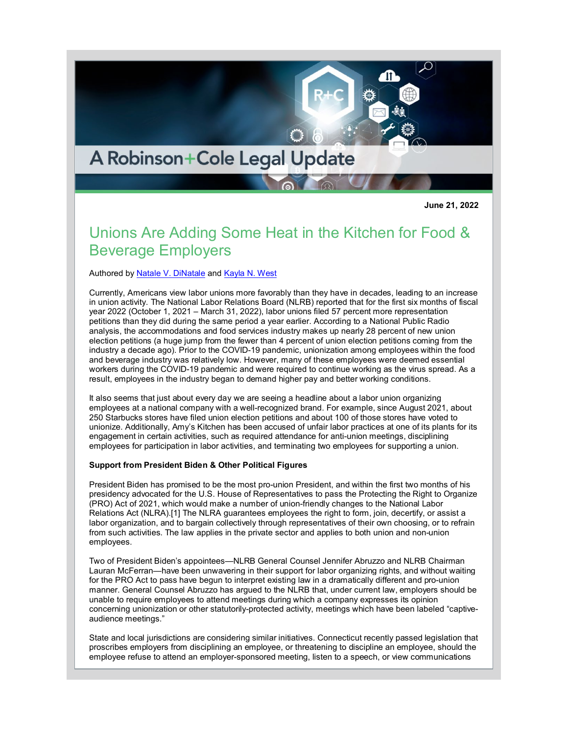# A Robinson+Cole Legal Update

**June 21, 2022**

## Unions Are Adding Some Heat in the Kitchen for Food & Beverage Employers

Authored by [Natale V. DiNatale](http://www.rc.com/people/natalevdinatale.cfm) and [Kayla N. West](http://www.rc.com/people/KaylaNWest.cfm)

Currently, Americans view labor unions more favorably than they have in decades, leading to an increase in union activity. The National Labor Relations Board (NLRB) reported that for the first six months of fiscal year 2022 (October 1, 2021 – March 31, 2022), labor unions filed 57 percent more representation petitions than they did during the same period a year earlier. According to a National Public Radio analysis, the accommodations and food services industry makes up nearly 28 percent of new union election petitions (a huge jump from the fewer than 4 percent of union election petitions coming from the industry a decade ago). Prior to the COVID-19 pandemic, unionization among employees within the food and beverage industry was relatively low. However, many of these employees were deemed essential workers during the COVID-19 pandemic and were required to continue working as the virus spread. As a result, employees in the industry began to demand higher pay and better working conditions.

It also seems that just about every day we are seeing a headline about a labor union organizing employees at a national company with a well-recognized brand. For example, since August 2021, about 250 Starbucks stores have filed union election petitions and about 100 of those stores have voted to unionize. Additionally, Amy's Kitchen has been accused of unfair labor practices at one of its plants for its engagement in certain activities, such as required attendance for anti-union meetings, disciplining employees for participation in labor activities, and terminating two employees for supporting a union.

#### **Support from President Biden & Other Political Figures**

President Biden has promised to be the most pro-union President, and within the first two months of his presidency advocated for the U.S. House of Representatives to pass the Protecting the Right to Organize (PRO) Act of 2021, which would make a number of union-friendly changes to the National Labor Relations Act (NLRA).[1] The NLRA guarantees employees the right to form, join, decertify, or assist a labor organization, and to bargain collectively through representatives of their own choosing, or to refrain from such activities. The law applies in the private sector and applies to both union and non-union employees.

Two of President Biden's appointees—NLRB General Counsel Jennifer Abruzzo and NLRB Chairman Lauran McFerran—have been unwavering in their support for labor organizing rights, and without waiting for the PRO Act to pass have begun to interpret existing law in a dramatically different and pro-union manner. General Counsel Abruzzo has argued to the NLRB that, under current law, employers should be unable to require employees to attend meetings during which a company expresses its opinion concerning unionization or other statutorily-protected activity, meetings which have been labeled "captiveaudience meetings."

State and local jurisdictions are considering similar initiatives. Connecticut recently passed legislation that proscribes employers from disciplining an employee, or threatening to discipline an employee, should the employee refuse to attend an employer-sponsored meeting, listen to a speech, or view communications